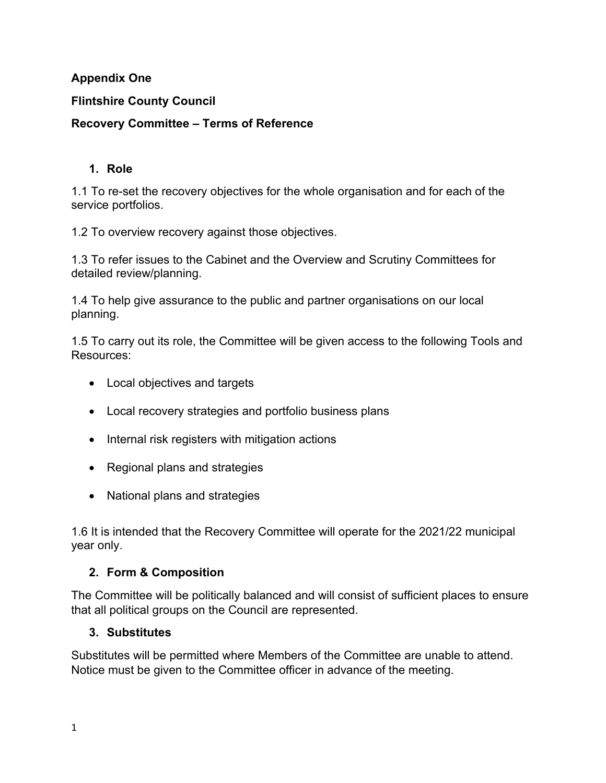### **Appendix One**

### **Flintshire County Council**

#### **Recovery Committee – Terms of Reference**

#### **1. Role**

1.1 To re-set the recovery objectives for the whole organisation and for each of the service portfolios.

1.2 To overview recovery against those objectives.

1.3 To refer issues to the Cabinet and the Overview and Scrutiny Committees for detailed review/planning.

1.4 To help give assurance to the public and partner organisations on our local planning.

1.5 To carry out its role, the Committee will be given access to the following Tools and Resources:

- Local objectives and targets
- Local recovery strategies and portfolio business plans
- Internal risk registers with mitigation actions
- Regional plans and strategies
- National plans and strategies

1.6 It is intended that the Recovery Committee will operate for the 2021/22 municipal year only.

## **2. Form & Composition**

The Committee will be politically balanced and will consist of sufficient places to ensure that all political groups on the Council are represented.

#### **3. Substitutes**

Substitutes will be permitted where Members of the Committee are unable to attend. Notice must be given to the Committee officer in advance of the meeting.